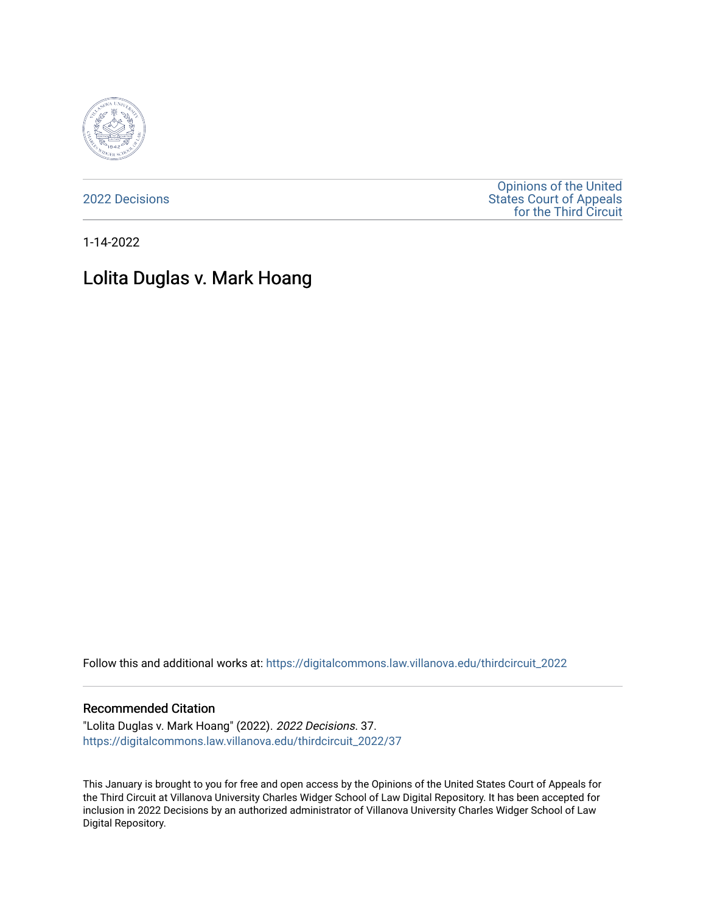

[2022 Decisions](https://digitalcommons.law.villanova.edu/thirdcircuit_2022)

[Opinions of the United](https://digitalcommons.law.villanova.edu/thirdcircuit)  [States Court of Appeals](https://digitalcommons.law.villanova.edu/thirdcircuit)  [for the Third Circuit](https://digitalcommons.law.villanova.edu/thirdcircuit) 

1-14-2022

# Lolita Duglas v. Mark Hoang

Follow this and additional works at: [https://digitalcommons.law.villanova.edu/thirdcircuit\\_2022](https://digitalcommons.law.villanova.edu/thirdcircuit_2022?utm_source=digitalcommons.law.villanova.edu%2Fthirdcircuit_2022%2F37&utm_medium=PDF&utm_campaign=PDFCoverPages) 

#### Recommended Citation

"Lolita Duglas v. Mark Hoang" (2022). 2022 Decisions. 37. [https://digitalcommons.law.villanova.edu/thirdcircuit\\_2022/37](https://digitalcommons.law.villanova.edu/thirdcircuit_2022/37?utm_source=digitalcommons.law.villanova.edu%2Fthirdcircuit_2022%2F37&utm_medium=PDF&utm_campaign=PDFCoverPages)

This January is brought to you for free and open access by the Opinions of the United States Court of Appeals for the Third Circuit at Villanova University Charles Widger School of Law Digital Repository. It has been accepted for inclusion in 2022 Decisions by an authorized administrator of Villanova University Charles Widger School of Law Digital Repository.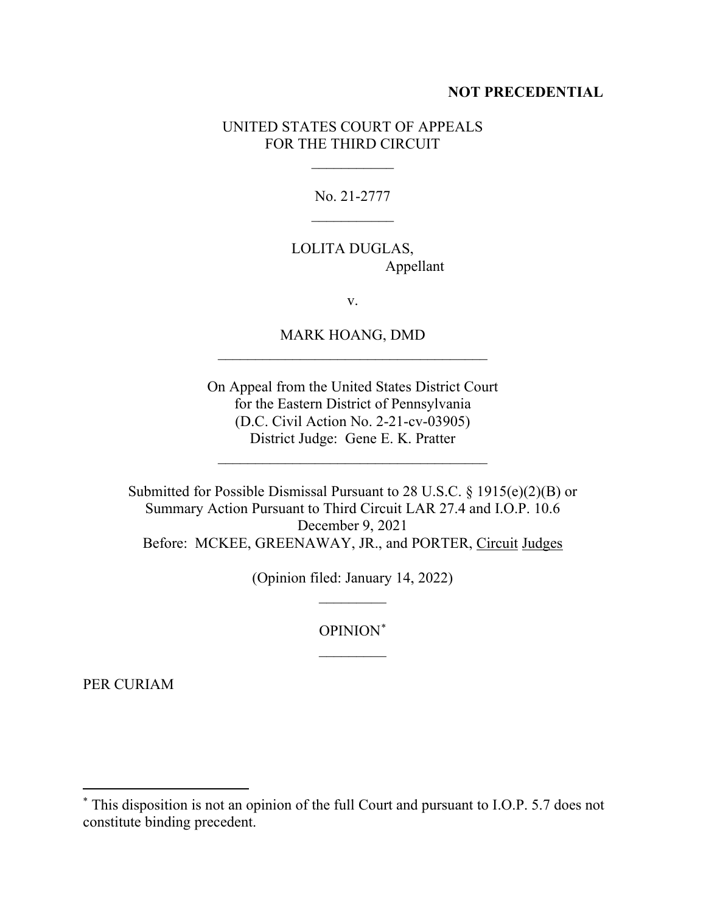#### **NOT PRECEDENTIAL**

### UNITED STATES COURT OF APPEALS FOR THE THIRD CIRCUIT

 $\frac{1}{2}$ 

No. 21-2777  $\overline{\phantom{a}}$ 

## LOLITA DUGLAS, Appellant

v.

MARK HOANG, DMD \_\_\_\_\_\_\_\_\_\_\_\_\_\_\_\_\_\_\_\_\_\_\_\_\_\_\_\_\_\_\_\_\_\_\_\_

On Appeal from the United States District Court for the Eastern District of Pennsylvania (D.C. Civil Action No. 2-21-cv-03905) District Judge: Gene E. K. Pratter

 $\mathcal{L}_\text{max}$  and  $\mathcal{L}_\text{max}$  and  $\mathcal{L}_\text{max}$  and  $\mathcal{L}_\text{max}$ 

Submitted for Possible Dismissal Pursuant to 28 U.S.C. § 1915(e)(2)(B) or Summary Action Pursuant to Third Circuit LAR 27.4 and I.O.P. 10.6 December 9, 2021 Before: MCKEE, GREENAWAY, JR., and PORTER, Circuit Judges

> (Opinion filed: January 14, 2022)  $\frac{1}{2}$

> > OPINION\*  $\overline{\phantom{a}}$

PER CURIAM

<sup>\*</sup> This disposition is not an opinion of the full Court and pursuant to I.O.P. 5.7 does not constitute binding precedent.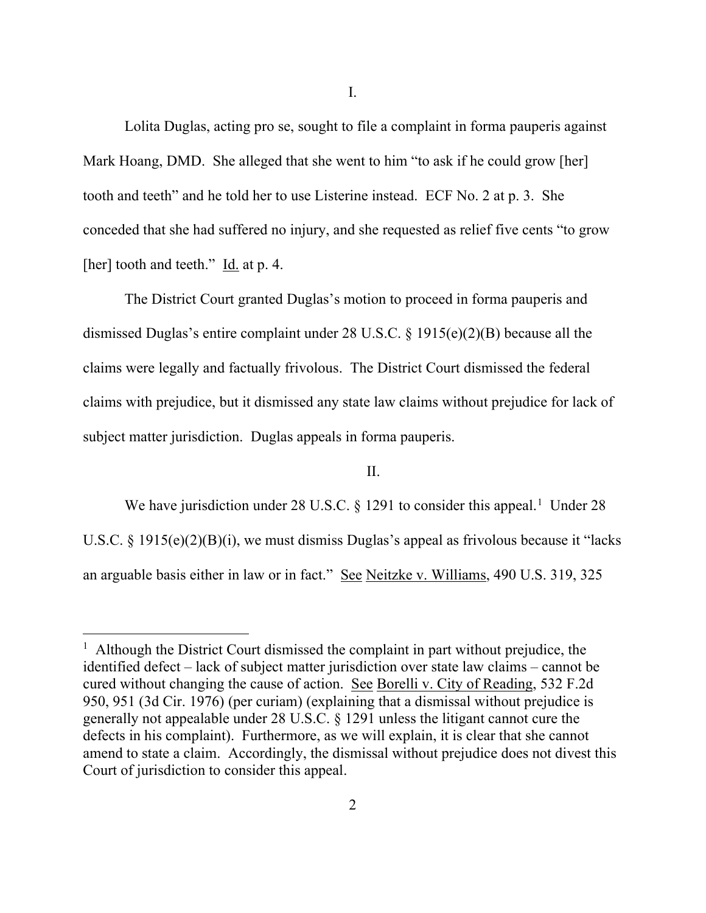I.

Lolita Duglas, acting pro se, sought to file a complaint in forma pauperis against Mark Hoang, DMD. She alleged that she went to him "to ask if he could grow [her] tooth and teeth" and he told her to use Listerine instead. ECF No. 2 at p. 3. She conceded that she had suffered no injury, and she requested as relief five cents "to grow [her] tooth and teeth."  $\underline{Id}$  at p. 4.

The District Court granted Duglas's motion to proceed in forma pauperis and dismissed Duglas's entire complaint under 28 U.S.C. § 1915(e)(2)(B) because all the claims were legally and factually frivolous. The District Court dismissed the federal claims with prejudice, but it dismissed any state law claims without prejudice for lack of subject matter jurisdiction. Duglas appeals in forma pauperis.

### II.

We have jurisdiction under 28 U.S.C.  $\S$  1291 to consider this appeal.<sup>1</sup> Under 28 U.S.C. § 1915(e)(2)(B)(i), we must dismiss Duglas's appeal as frivolous because it "lacks an arguable basis either in law or in fact." See Neitzke v. Williams, 490 U.S. 319, 325

<sup>&</sup>lt;sup>1</sup> Although the District Court dismissed the complaint in part without prejudice, the identified defect – lack of subject matter jurisdiction over state law claims – cannot be cured without changing the cause of action. See Borelli v. City of Reading, 532 F.2d 950, 951 (3d Cir. 1976) (per curiam) (explaining that a dismissal without prejudice is generally not appealable under 28 U.S.C. § 1291 unless the litigant cannot cure the defects in his complaint). Furthermore, as we will explain, it is clear that she cannot amend to state a claim. Accordingly, the dismissal without prejudice does not divest this Court of jurisdiction to consider this appeal.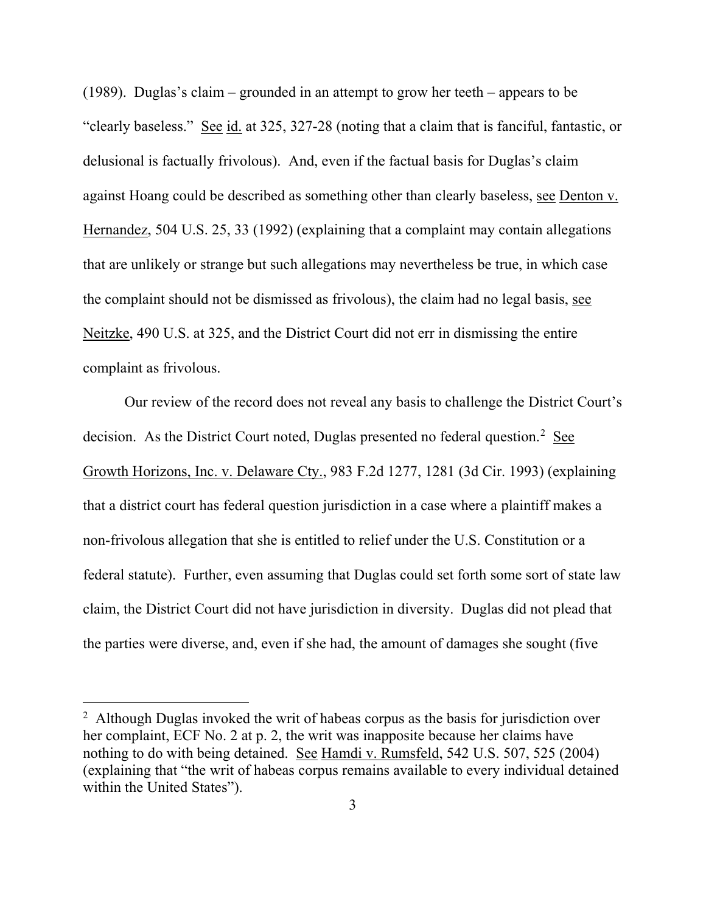(1989). Duglas's claim – grounded in an attempt to grow her teeth – appears to be "clearly baseless." See id. at 325, 327-28 (noting that a claim that is fanciful, fantastic, or delusional is factually frivolous). And, even if the factual basis for Duglas's claim against Hoang could be described as something other than clearly baseless, see Denton v. Hernandez, 504 U.S. 25, 33 (1992) (explaining that a complaint may contain allegations that are unlikely or strange but such allegations may nevertheless be true, in which case the complaint should not be dismissed as frivolous), the claim had no legal basis, see Neitzke, 490 U.S. at 325, and the District Court did not err in dismissing the entire complaint as frivolous.

Our review of the record does not reveal any basis to challenge the District Court's decision. As the District Court noted, Duglas presented no federal question.<sup>2</sup> See Growth Horizons, Inc. v. Delaware Cty., 983 F.2d 1277, 1281 (3d Cir. 1993) (explaining that a district court has federal question jurisdiction in a case where a plaintiff makes a non-frivolous allegation that she is entitled to relief under the U.S. Constitution or a federal statute). Further, even assuming that Duglas could set forth some sort of state law claim, the District Court did not have jurisdiction in diversity. Duglas did not plead that the parties were diverse, and, even if she had, the amount of damages she sought (five

<sup>&</sup>lt;sup>2</sup> Although Duglas invoked the writ of habeas corpus as the basis for jurisdiction over her complaint, ECF No. 2 at p. 2, the writ was inapposite because her claims have nothing to do with being detained. See Hamdi v. Rumsfeld, 542 U.S. 507, 525 (2004) (explaining that "the writ of habeas corpus remains available to every individual detained within the United States").